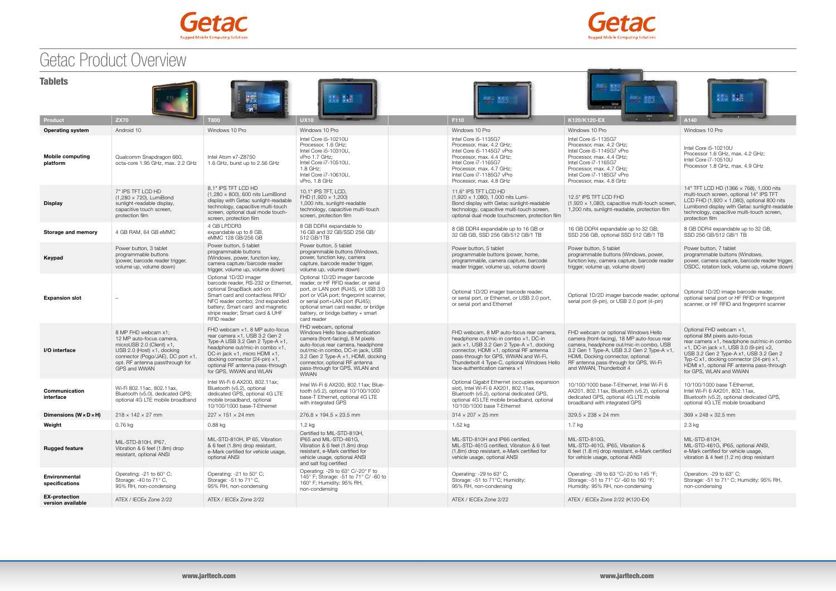

## Getac Product Overview



| <b>Tablets</b><br>※ 1000<br>膘<br>B.<br>a m<br>Genac<br>M <sup>2</sup><br>$+$ 2000 $+$ |                                                                                                                                                                                                                    |                                                                                                                                                                                                                                                                                          |                                                                                                                                                                                                                                                                                                   |  |                                                                                                                                                                                                                                                                                                            |                                                                                                                                                                                                                                                                                          |                                                                                                                                                                                                                                                                                                                                               |  |  |
|---------------------------------------------------------------------------------------|--------------------------------------------------------------------------------------------------------------------------------------------------------------------------------------------------------------------|------------------------------------------------------------------------------------------------------------------------------------------------------------------------------------------------------------------------------------------------------------------------------------------|---------------------------------------------------------------------------------------------------------------------------------------------------------------------------------------------------------------------------------------------------------------------------------------------------|--|------------------------------------------------------------------------------------------------------------------------------------------------------------------------------------------------------------------------------------------------------------------------------------------------------------|------------------------------------------------------------------------------------------------------------------------------------------------------------------------------------------------------------------------------------------------------------------------------------------|-----------------------------------------------------------------------------------------------------------------------------------------------------------------------------------------------------------------------------------------------------------------------------------------------------------------------------------------------|--|--|
| Product                                                                               | <b>ZX70</b>                                                                                                                                                                                                        | <b>T800</b>                                                                                                                                                                                                                                                                              | <b>UX10</b>                                                                                                                                                                                                                                                                                       |  | F110                                                                                                                                                                                                                                                                                                       | Grta<br>$-1.14$<br>K120/K120-EX                                                                                                                                                                                                                                                          | $-0.01404$<br>A140                                                                                                                                                                                                                                                                                                                            |  |  |
| <b>Operating system</b>                                                               | Android 10                                                                                                                                                                                                         | Windows 10 Pro                                                                                                                                                                                                                                                                           | Windows 10 Pro                                                                                                                                                                                                                                                                                    |  | Windows 10 Pro                                                                                                                                                                                                                                                                                             | Windows 10 Pro                                                                                                                                                                                                                                                                           | Windows 10 Pro                                                                                                                                                                                                                                                                                                                                |  |  |
| <b>Mobile computing</b><br>platform                                                   | Qualcomm Snapdragon 660,<br>octa-core 1.95 GHz, max, 2.2 GHz                                                                                                                                                       | Intel Atom x7-Z8750<br>1.6 GHz, burst up to 2.56 GHz                                                                                                                                                                                                                                     | Intel Core i5-10210U<br>Processor, 1.6 GHz:<br>Intel Core i5-10310U.<br>vPro 1.7 GHz;<br>Intel Core i7-10510U,<br>1.8 GHz;<br>Intel Core i7-10610U,<br>vPro, 1.8 GHz                                                                                                                              |  | Intel Core i5-1135G7<br>Processor, max. 4.2 GHz;<br>Intel Core i5-1145G7 vPro<br>Processor, max. 4.4 GHz:<br>Intel Core i7-1165G7<br>Processor, max. 4.7 GHz;<br>Intel Core i7-1185G7 vPro<br>Processor, max. 4.8 GHz                                                                                      | Intel Core i5-1135G7<br>Processor, max, 4.2 GHz:<br>Intel Core i5-1145G7 vPro<br>Processor, max. 4.4 GHz;<br>Intel Core i7-1165G7<br>Processor, max. 4.7 GHz;<br>Intel Core i7-1185G7 vPro<br>Processor, max. 4.8 GHz                                                                    | Intel Core i5-10210U<br>Processor 1.6 GHz, max. 4.2 GHz;<br>Intel Core i7-10510U<br>Processor 1.8 GHz, max, 4.9 GHz                                                                                                                                                                                                                           |  |  |
| <b>Display</b>                                                                        | 7" IPS TFT LCD HD<br>$(1,280 \times 720)$ , LumiBond<br>sunlight-readable display,<br>capacitive touch screen,<br>protection film                                                                                  | 8.1" IPS TFT LCD HD<br>$(1,280 \times 800)$ , 600 nits LumiBond<br>display with Getac sunlight-readable<br>technology, capacitive multi-touch<br>screen, optional dual mode touch-<br>screen, protection film                                                                            | 10.1" IPS TFT, LCD,<br>FHD $(1,920 \times 1,200)$<br>1,000 nits, sunlight-readable<br>technology, capacitive multi-touch<br>screen, protection film                                                                                                                                               |  | 11.6" IPS TFT LCD HD<br>$(1,920 \times 1,080)$ , 1.000 nits Lumi-<br>Bond display with Getac sunlight-readable<br>technology, capacitive multi-touch screen,<br>optional dual mode touchscreen, protection film                                                                                            | 12.5" IPS TFT LCD FHD<br>$(1,920 \times 1,080)$ , capacitive multi-touch screen,<br>1,200 nits, sunlight-readable, protection film                                                                                                                                                       | 14" TFT LCD HD (1366 x 768), 1,000 nits<br>multi-touch screen, optional 14" IPS TFT<br>LCD FHD $(1,920 \times 1,080)$ , optional 800 nits<br>Lumibond display with Getac sunlight-readable<br>technology, capacitive multi-touch screen,<br>protection film                                                                                   |  |  |
| Storage and memory                                                                    | 4 GB RAM, 64 GB eMMC                                                                                                                                                                                               | 4 GB LPDDR3<br>expandable up to 8 GB,<br>eMMC 128 GB/256 GB                                                                                                                                                                                                                              | 8 GB DDR4 expandable to<br>16 GB and 32 GB/SSD 256 GB/<br>512 GB/1TB                                                                                                                                                                                                                              |  | 8 GB DDR4 expandable up to 16 GB or<br>32 GB GB, SSD 256 GB/512 GB/1 TB                                                                                                                                                                                                                                    | 16 GB DDR4 expandable up to 32 GB;<br>SSD 256 GB, optional SSD 512 GB/1 TB                                                                                                                                                                                                               | 8 GB DDR4 expandable up to 32 GB.<br>SSD 256 GB/512 GB/1 TB                                                                                                                                                                                                                                                                                   |  |  |
| Keypad                                                                                | Power button, 3 tablet<br>programmable buttons<br>(power, barcode reader trigger,<br>volume up, volume down)                                                                                                       | Power button, 5 tablet<br>programmable buttons<br>(Windows, power, function key,<br>camera capture/barcode reader<br>trigger, volume up, volume down)                                                                                                                                    | Power button, 5 tablet<br>programmable buttons (Windows,<br>power, function key, camera<br>capture, barcode reader trigger,<br>volume up, volume down)                                                                                                                                            |  | Power button, 5 tablet<br>programmable buttons (power, home,<br>programmable, camera capture, barcode<br>reader trigger, volume up, volume down)                                                                                                                                                           | Power button, 5 tablet<br>programmable buttons (Windows, power,<br>function key, camera capture, barcode reader<br>trigger, volume up, volume down)                                                                                                                                      | Power button, 7 tablet<br>programmable buttons (Windows,<br>power, camera capture, barcode reader trigger,<br>OSDC, rotation lock, volume up, volume down)                                                                                                                                                                                    |  |  |
| <b>Expansion slot</b>                                                                 |                                                                                                                                                                                                                    | Optional 1D/2D imager<br>barcode reader, RS-232 or Ethernet.<br>optional SnapBack add-on:<br>Smart card and contactless RFID/<br>NFC reader combo; 2nd expanded<br>battery; Smart card and magnetic<br>stripe reader; Smart card & UHF<br>RFID reader                                    | Optional 1D/2D imager barcode<br>reader, or HF RFID reader, or serial<br>port, or LAN port (RJ45), or USB 3.0<br>port or VGA port; fingerprint scanner,<br>or serial port+LAN port (RJ45);<br>optional smart card reader, or bridge<br>battery, or bridge battery + smart<br>card reader          |  | Optional 1D/2D imager barcode reader,<br>or serial port, or Ethernet, or USB 2.0 port,<br>or serial port and Ethernet                                                                                                                                                                                      | Optional 1D/2D imager barcode reader, optional<br>serial port (9-pin), or USB 2.0 port (4-pin)                                                                                                                                                                                           | Optional 1D/2D image barcode reader,<br>optional serial port or HF RFID or fingerprint<br>scanner, or HF RFID and fingerprint scanner                                                                                                                                                                                                         |  |  |
| I/O interface                                                                         | 8 MP FHD webcam x1;<br>12 MP auto-focus camera,<br>microUSB 2.0 (Client) $\times$ 1,<br>USB 2.0 (Host) $\times$ 1, docking<br>connector (Pogo/JAE), DC port x1,<br>opt. RF antenna passthrough for<br>GPS and WWAN | FHD webcam $\times$ 1, 8 MP auto-focus<br>rear camera x1, USB 3.2 Gen 2<br>Type-A USB 3.2 Gen 2 Type-A x1,<br>headphone out/mic-in combo x1,<br>DC-in jack ×1, micro HDMI ×1,<br>docking connector $(24$ -pin) $\times$ 1,<br>optional RF antenna pass-through<br>for GPS, WWAN and WLAN | FHD webcam, optional<br>Windows Hello face-authentication<br>camera (front-facing), 8 M pixels<br>auto-focus rear camera, headphone<br>out/mic-in combo, DC-in jack, USB<br>3.2 Gen 2 Type-A ×1, HDMI, docking<br>connector, optional RF antenna<br>pass-through for GPS, WLAN and<br><b>WWAN</b> |  | FHD webcam, 8 MP auto-focus rear camera,<br>headphone out/mic-in combo x1, DC-in<br>jack ×1, USB 3.2 Gen 2 Type-A ×1, docking<br>connector, HDMI x1, optional RF antenna<br>pass-through for GPS, WWAN and Wi-Fi,<br>Thunderbolt 4 Type-C, optional Windows Hello<br>face-authentication camera $\times 1$ | FHD webcam or optional Windows Hello<br>camera (front-facing), 18 MP auto-focus rear<br>camera, headphone out/mic-in combo, USB<br>3.2 Gen 1 Type-A, USB 3.2 Gen 2 Type-A x1,<br>HDMI, Docking connector, optional:<br>RF antenna pass-through for GPS, Wi-Fi<br>and WWAN, Thunderbolt 4 | Optional FHD webcam x1,<br>optional 8M pixels auto-focus<br>rear camera x1, headphone out/mic-in combo<br>$\times$ 1, DC-in jack $\times$ 1, USB 3.0 (9-pin) $\times$ 2,<br>USB 3.2 Gen 2 Type-A x1, USB 3.2 Gen 2<br>Typ-C x1, docking connector (24-pin) $\times$ 1,<br>HDMI x1, optional RF antenna pass-through<br>for GPS, WLAN and WWAN |  |  |
| Communication<br>interface                                                            | Wi-Fi 802.11ac, 802.11ax,<br>Bluetooth (v5.0), dedicated GPS;<br>optional 4G LTE mobile broadband                                                                                                                  | Intel Wi-Fi 6 AX200, 802.11ax;<br>Bluetooth (v5.2), optional<br>dedicated GPS, optional 4G LTE<br>mobile broadband, optional<br>10/100/1000 base-T-Ethernet                                                                                                                              | Intel Wi-Fi 6 AX200, 802.11ax; Blue-<br>tooth (v5.2), optional 10/100/1000<br>base-T Ethernet, optional 4G LTE<br>with integrated GPS                                                                                                                                                             |  | Optional Gigabit Ethernet (occupies expansion<br>slot), Intel Wi-Fi 6 AX201, 802.11ax,<br>Bluetooth (v5.2), optional dedicated GPS,<br>optional 4G LTE mobile broadband, optional<br>10/100/1000 base T-Ethernet                                                                                           | 10/100/1000 base-T-Ethernet, Intel Wi-Fi 6<br>AX201, 802.11ax, Bluetooth (v5.2), optional<br>dedicated GPS, optional 4G LTE mobile<br>broadband with integrated GPS                                                                                                                      | 10/100/1000 base T-Ethernet,<br>Intel Wi-Fi 6 AX201, 802.11ax,<br>Bluetooth (v5.2), optional dedicated GPS,<br>optional 4G LTE mobile broadband                                                                                                                                                                                               |  |  |
| Dimensions ( $W \times D \times H$ )                                                  | $218 \times 142 \times 27$ mm                                                                                                                                                                                      | $227 \times 151 \times 24$ mm                                                                                                                                                                                                                                                            | $276.8 \times 194.5 \times 23.5$ mm                                                                                                                                                                                                                                                               |  | $314 \times 207 \times 25$ mm                                                                                                                                                                                                                                                                              | $329.5 \times 238 \times 24$ mm                                                                                                                                                                                                                                                          | $369 \times 248 \times 32.5$ mm                                                                                                                                                                                                                                                                                                               |  |  |
| Weight                                                                                | $0.76$ kg                                                                                                                                                                                                          | $0.88$ kg                                                                                                                                                                                                                                                                                | 1.2 kg                                                                                                                                                                                                                                                                                            |  | 1.52 kg                                                                                                                                                                                                                                                                                                    | 1.7 kg                                                                                                                                                                                                                                                                                   | $2.3$ kg                                                                                                                                                                                                                                                                                                                                      |  |  |
| <b>Rugged feature</b>                                                                 | MIL-STD-810H, IP67,<br>Vibration & 6 feet (1.8m) drop<br>resistant, optional ANSI                                                                                                                                  | MIL-STD-810H, IP 65, Vibration<br>& 6 feet (1.8m) drop resistant,<br>e-Mark certified for vehicle usage,<br>optional ANSI                                                                                                                                                                | Certified to MIL-STD-810H,<br>IP65 and MIL-STD-461G,<br>Vibration & 6 feet (1.8m) drop<br>resistant, e-Mark certified for<br>vehicle usage, optional ANSI<br>and salt fog certified                                                                                                               |  | MIL-STD-810H and IP66 certified.<br>MIL-STD-461G certified, Vibration & 6 feet<br>(1,8m) drop resistant, e-Mark certified for<br>vehicle usage, optional ANSI                                                                                                                                              | MIL-STD-810G,<br>MIL-STD-461G, IP65, Vibration &<br>6 feet (1.8 m) drop resistant, e-Mark certified<br>for vehicle usage, optional ANSI                                                                                                                                                  | MIL-STD-810H,<br>MIL-STD-461G, IP65, optional ANSI,<br>e-Mark certified for vehicle usage,<br>vibration & 4 feet (1.2 m) drop resistant                                                                                                                                                                                                       |  |  |
| Environmental<br>specifications                                                       | Operating: -21 to $60^{\circ}$ C;<br>Storage: $-40$ to $71^\circ$ C,<br>95% RH, non-condensing                                                                                                                     | Operating: -21 to $50^{\circ}$ C;<br>Storage: -51 to 71° C,<br>95% RH, non-condensing                                                                                                                                                                                                    | Operating: -29 to 63° C/-20° F to<br>145° F; Storage: -51 to 71° C/ -60 to<br>160° F; Humidity: 95% RH,<br>non-condensing                                                                                                                                                                         |  | Operating: -29 to 63° C;<br>Storage: -51 to 71°C; Humidity:<br>95% RH, non-condensing                                                                                                                                                                                                                      | Operating: -29 to 63 °C/-20 to 145 °F;<br>Storage: -51 to 71° C/ -60 to 160 °F;<br>Humidity: 95% RH, non-condensing                                                                                                                                                                      | Operation: -29 to 63° C;<br>Storage: -51 to 71° C; Humidity: 95% RH,<br>non-condensing                                                                                                                                                                                                                                                        |  |  |
| <b>EX-protection</b><br>version available                                             | ATEX / IECEx Zone 2/22                                                                                                                                                                                             | ATEX / IECEx Zone 2/22                                                                                                                                                                                                                                                                   |                                                                                                                                                                                                                                                                                                   |  | ATEX / IECEx Zone 2/22                                                                                                                                                                                                                                                                                     | ATEX / IECEx Zone 2/22 (K120-EX)                                                                                                                                                                                                                                                         |                                                                                                                                                                                                                                                                                                                                               |  |  |